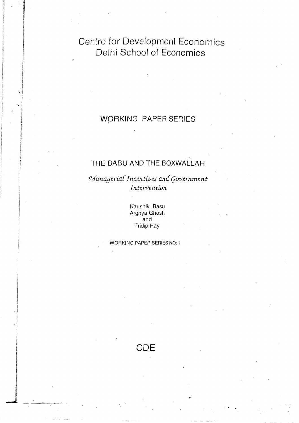Centre for Development Economics Delhi School of Economics

# WORKING PAPER SERIES

# THE BABU AND THE BOXWALLAH

Managerial Incentives and Government Intervention

> Kaushik Basu Arghya Ghosh and **Tridip Ray**

**WORKING PAPER SERIES NO: 1** 

**CDE**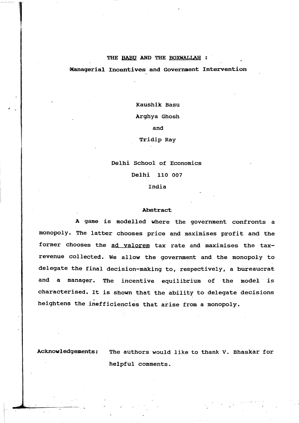#### THE BABU AND THE BOXWALLAH :

#### 'Managerial Inoentives and Government Intervention

Kaushik Basu Arghya Ghosh and Tridip Ray

Delhi School of Economics

Delhi 110 007

India

#### Abstract

A game is modelled where the government confronts a monopoly. The latter chooses price and maximises profit and the former chooses the ad valorem tax rate and maximises the taxrevenue collected. We allow the government and the monopoly to delegate the final decision-making to, respectively, a bureaucrat and a manager. The incentive equilibrium of the model is characterised. It is shown that the ability to delegate decisions . IS SNOWN heightens the inefficiencies that arise from a monopoly.

Acknowledgements: The authors would like to thank V. Bhaskar for helpful comments.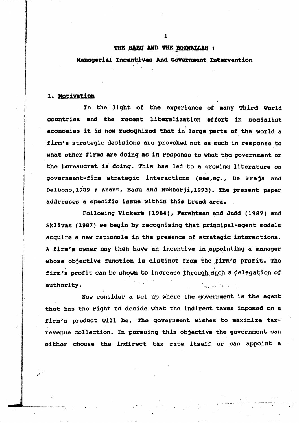#### THE BABU AND THE BOXWALLAH :

#### Managerial Incentives And Government Intervention

## 1. Notivation

In the light of the experience of many Third World countries and the recent liberalization effort in socialist economies it is now recognized that in large parts of the world a firm's strategic decisions are provoked not as much in response to what other firms are doing as in response to what the government or the bureaucrat is doing. This has led to a growing literature on government-firm strategic interactions (see,eg., De Fraja and Delbono, 1989 ; Anant, Basu and Mukherji, 1993). The present paper addresses a specific issue within this broad area.

Following Vickers (1984), Fershtman and Judd (1987) and Sklivas (1987) we begin by recognising that principal-agent models acquire a new rationale in the presence of strategic interactions. A firm's owner may then have an incentive in appointing a manager whose objective function is distinct from the firm's profit. The firm's profit can be shown to increase through such a delegation of authority. William M. W. Leonard

Now consider a set up where the government is the agent that has the right to decide what the indirect taxes imposed on a firm's product will be. The government wishes to maximize taxrevenue collection. In pursuing this objective the government can either choose the indirect tax rate itself or can appoint a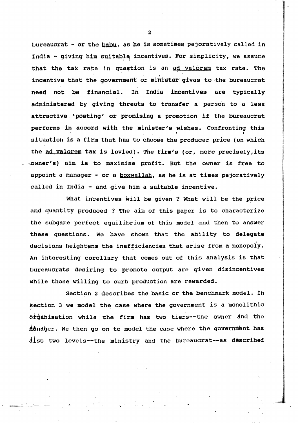bureaucrat - or the  $b$ abu, as he is sometimes pejoratively called in India - giving him suitable incentives. For simplicity, we assume that the tax rate in question is an ad valorem tax rate. The incentive that the government or minister gives to the bureaucrat need not be financial. in India incentives are typically administered by qiving threats to transfer a person to a less attractive, 'posting' or promising a promotion if the bureaucrat performant that the government or minister gives to the bureaucrat<br>need not be financial. In India incentives are typically<br>administered by giving threats to transfer a person to a less<br>attractive 'posting' or promising a situation is a firm that has to choose the producer price (on which the ad valorem tax is levied). The firm's (or, more precisely, its ""owner's) aim is to maximise profit. But the owner is free to appoint a manager - or a boxwallah, as he is at times pejoratively called in India - and give him a suitable incentive.

What incentives will be given? What will be the price and quantity produced ? The aim of this paper is to characterize the subgame perfect equilibrium of this model and then to answer these questions. We have shown that the ability to delegate decisions heightens the inefficiencies that arise from a monopoly. An interesting corollary that comes out of this analysis is that bureaucrats desiring to promote output are given disincentives while those willing to curb production are rewarded.

Section 2 describes the basic or the benchmark model. in section 3 we model the case where the government is a moholithic droahisation while the firm has two tiers--the owner and the manager. We then go on to model the case where the government has disp two levels--the ministry and the bureaucrat--as described

2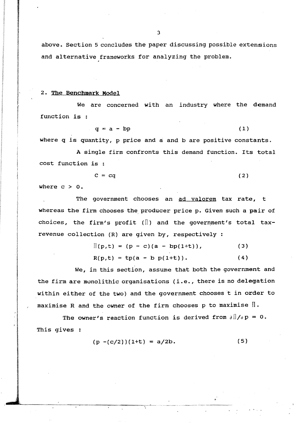above. Section 5 concludes the paper discussing possible extensions and alternative frameworks for analyzing the problem.

## 2. The Benchmark Model

We are concerned with an industry where the demand function is :

 $q = a - bp$  (1)

where q is quantity, p price and a and b are positive constants.

A single firm confronts this demand function. Its total cost function is

$$
C = cq \tag{2}
$$

where  $c > 0$ .

The government chooses an ad valorem tax rate, t whereas the firm chooses the producer price p. Given such a pair of choices, the firm's profit ( $\parallel$ ) and the government's total taxrevenue collection (R) are given by, respectively:

$$
\mathbb{I}(p,t) = (p - c)(a - bp(1+t)), \qquad (3)
$$

 $R(p,t) = tp(a - b p(1+t)).$  (4)

We, in this section, assume that both the government and the firm are monolithic organisations (i .e., there is no delegation within either of the two) and the government chooses t in order to maximise R and the owner of the firm chooses p to maximise  $\mathbb{I}$ .

The owner's reaction function is derived from  $\frac{\partial \ln f}{\partial p} = 0$ . This gives :

$$
(p - (c/2))(1+t) = a/2b.
$$
 (5)

.. ...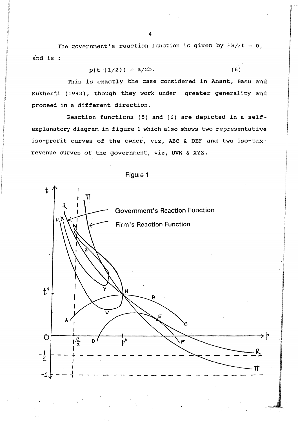The government's reaction function is given by  $\partial R/\partial t = 0$ , a'nd is

$$
p(t+(1/2)) = a/2b.
$$
 (6)

I

This is exactly the case considered in Anant, Basu and Mukherji (1993), though they work under greater generality and proceed in a different direction.

Reaction functions (5) and (6) are depicted in a selfexplanatory diagram in figure 1 which also shows two representative iso-profit curves of the owner, viz, ABC & DEF and two iso-taxrevenue curves of the government, viz, uvw & xyz.



Figure 1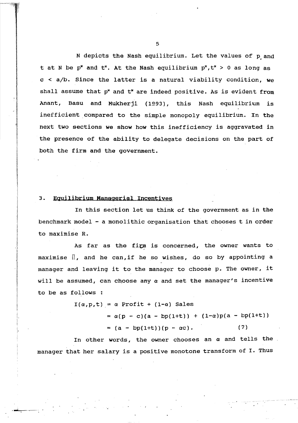N depicts the Nash equilibrium. Let the values of p and t at N be p<sup>\*</sup> and t<sup>\*</sup>. At the Nash equilibrium  $p^M, t^M > 0$  as long as  $c < a/b$ . Since the latter is a natural viability condition, we shall assume that  $p^*$  and  $t^*$  are indeed positive. As is evident from Anant, Basu and Mukherji (1993), this Nash equilibrium is inefficient compared to the simple monopoly equilibrium. In the next two sections we show how this inefficiency is aggravated in the presence of the ability to delegate decisions on the part of both the firm and the government.

#### 3. Equilibrium Managerial Incentives

**INSTRUCT**  $\boldsymbol{\mathcal{X}}$ 

,

I

In this section let us think of the government as in the benchmark model  $-$  a monolithic organisation that chooses t in order to maximise R.

As far as the firm is concerned, the owner wants to maximise  $\mathbb I$ , and he can, if he so wishes, do so by appointing a manager and leaving it to the manager to choose p. The owner, it will be assumed, can choose any  $\alpha$  and set the manager's incentive to be as follows :

> $I(\alpha,p,t) = \alpha$  Profit + (1- $\alpha$ ) Sales  $= \alpha(p - c)(a - bp(1+t)) + (1-a)p(a - bp(1+t))$  $= (a - bp(1+t))(p - ac).$  (7)

In other words, the owner chooses an  $\alpha$  and tells the manager that her salary is a positive monotone transform of I. Thus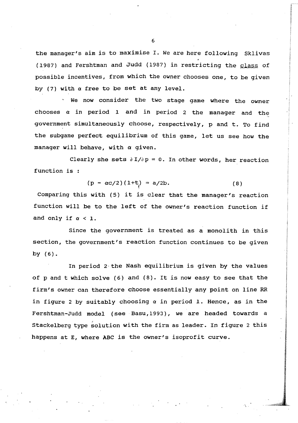the manager's aim is to maximise I. We are here following Sklivas (1987) and Fershtman and Judd (1987) in restricting the glass of possible incentives, from which the owner chooses one, to be given by (7) with  $\alpha$  free to be set at any level.

We now consider the two stage game Where the owner chooses *a* in period 1 and in period 2 the manager and the government simultaneously choose, respectively, p and t. To find the subgame perfect equilibrium of this game, let us see how the manager will behave, with  $\alpha$  given.

Clearly she sets  $\partial I/\partial p = 0$ . In other words, her reaction function is :

$$
(p - \alpha c/2) (1+t) = a/2b.
$$
 (8)

Comparing this with (5) it is clear that the manager's reaction function will be to the left of the owner's reaction function if and only if  $\alpha < 1$ .

Since the government is treated as a monolith in this section, the government's reaction function continues to be given by (6).

In period  $2$  the Nash equilibrium is given by the values of p and t which solve  $(6)$  and  $(8)$ . It is now easy to see that the firm's owner can therefore choose essentially any point on line RR in figure 2 by suitably choosing *a* in period 1. Hence, as in the Fershtman-Judd model (see· Basu, 1993), we are headed towards a Stackelberg type solution with the firm as leader. In figure 2 this happens at E, where ABC is the owner's isoprofit curve.

6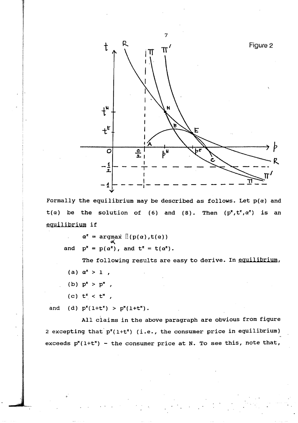

Formally the equilibrium may be described as follows. Let  $p(\alpha)$  and  $t(\alpha)$  be the solution of (6) and (8). Then  $(p^z, t^z, \alpha^z)$  is an equilibrium if

 $\alpha^{\epsilon}$  = argmax  $\left[ \left( p(\alpha), t(\alpha) \right) \right]$ and  $p^r = p(\alpha^r)$ , and  $t^r = t(\alpha^r)$ .

The following results are easy to derive. In equilibrium,

- (a)  $\alpha^2 > 1$ ,
- (b)  $p^{\mu} > p^{\mu}$ ,
- (c)  $t^k < t^m$ ,

and (d)  $p^{E}(1+t^{E}) > p^{M}(1+t^{M})$ .

All claims in the above paragraph are obvious from figure 2 excepting that  $p^*(1+t^*)$  (i.e., the consumer price in equilibrium) exceeds  $p^{N}(1+t^{N})$  - the consumer price at N. To see this, note that,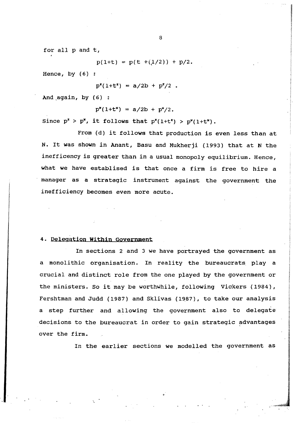for all p and t,

 $p(1+t) = p(t + (1/2)) + p/2.$ 

Hence, by (6)

 $p^{r}(1+t^{r}) = a/2b + p^{r}/2$ .

And  $aqain$ , by  $(6)$  :

 $p''(1+t'') = a/2b + p''/2.$ 

Since  $p^z > p^u$ , it follows that  $p^z(1+t^z) > p^u(1+t^u)$ .

From (d) it follows that production is even less than at N. It was shown in Anant, Basu and Mukherji (1993) that at N the inefficency is greater than in a usual monopoly equilibrium. Hence, what we have establised is that once a firm is free to hire a manager as a strategic instrument against the government the inefficiency becomes even more acute.

#### 4. Delegation Within Government

In sections 2 and 3 we have portrayed the government as a monolithic organisation. In reality the bureaucrats play a crucial and distinct role from the one played by the government or the ministers. So it may be worthwhile, following Vickers (1984), Fershtman and Judd (1987) and Sklivas (1987), to take our analysis a step further and allowing the government also to delegate decisions to the bureaucrat in order to gain strategic advantages over the firm.

In the earlier sections we modelled the government as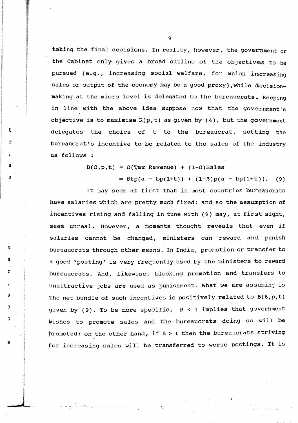taking the final decisions. In reality, however, the government or the Cabinet only gives a broad outline of the objectives to be pursued (e.g., increasing social welfare, for which increasing sales or output of the economy may be a good proxy), while decisionmaking at the micro level is delegated to the bureaucrats. Keeping in line with the above idea suppose now that the government's objective is to maximise  $R(p, t)$  as given by  $(4)$ , but the government delegates the choice of t to the bureaucrat, setting the bureaucrat's incentive to be related to the sales of the industry as follows :

 $B(\beta, p, t) = B(Tax \text{ Revenue}) + (1-\beta) \text{ Sales}$ 

t

a

r

:;

s

s

ina matamatan<br>Ing Pangalawan

J

 $=$   $Btp(a - bp(1+t)) + (1-B)p(a - bp(1+t))$ . (9)

It may seem at first that in most countries bureaucrats have salaries which are pretty much fixed; and so the assumption of incentives rising and falling in tune with (9) may, at first sight, seem unreal. However, a moments thought reveals that even if salaries cannot be changed, ministers can reward and punish bureaucrats through other means. In India, promotion or transfer to a good 'posting' is very frequently used by the ministers to reward bureaucrats. And, likewise, blocking promotion and transfers to unattractive jobs are used as punishment. What we are assuming is the net bundle of such incentives is positively related to B(B, p, t) given by (9). To be more specific, *B* < 1 implies that government wishes to promote sales and the bureaucrats doing so will be promoted; on the other hand, if *<sup>B</sup>*> 1 then the bureaucrats striving for increasing sales will be transferred to worse postings. It is

9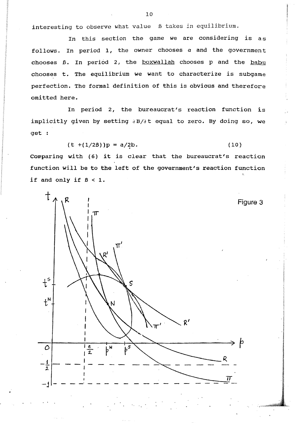interesting to observe what value  $\beta$  takes in equilibrium.

In this section the game we are considering is as follows. In period 1, the owner chooses  $\alpha$  and the government chooses B. In period 2, the boxwallah chooses p and the babu chooses t. The equilibrium we want to characterize is subgame perfection. The formal definition of this is obvious and therefore omitted here.

In period 2, the bureaucrat's reaction function is implicitly given by setting aB/at equal to zero. By doing so, we get :

$$
(t + (1/2\beta))p = a/2b.
$$
 (10)

Comparing with (6) it is clear that the bureaucrat's reaction function will be to the left of the government's reaction function if and only if  $\beta < 1$ .

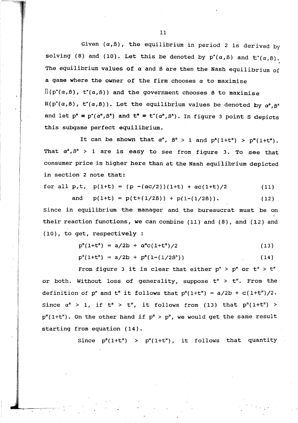Given  $(\alpha, \beta)$ , the equilibrium in period 2 is derived by solving (8) and (10). Let this be denoted by  $p^*(\alpha, \beta)$  and  $t^*(\alpha, \beta)$ . The equilibrium values of  $\alpha$  and  $\beta$  are then the Nash equilibrium of a game where the owner of the firm chooses *a* to maximise  $\Pi(p^*(\alpha,\beta), t^*(\alpha,\beta))$  and the government chooses  $\beta$  to maximise  $R(p^*(\alpha,\beta), t^*(\alpha,\beta)).$  Let the equilibrium values be denoted by  $\alpha^s, \beta^s$ and let  $p^a = p^*(\alpha^a, \beta^a)$  and  $t^a = t^*(\alpha^a, \beta^s)$ . In figure 3 point S depicts this subgame perfect equilibrium.

It can be shown that  $\alpha^s$ ,  $\beta^s > 1$  and  $p^s(1+t^s) > p^s(1+t^s)$ . That  $\alpha^s$ ,  $\beta^s$  > 1 are is easy to see from figure 3. To see that consumer price is higher here than at the Nash equilibrium depicted *in* section 2 note that:

for all p,t, 
$$
p(1+t) = (p - (\alpha c/2))(1+t) + \alpha c(1+t)/2
$$
 (11)

and 
$$
p(1+t) = p(t+(1/2\beta)) + p(1-(1/2\beta))
$$
. (12)

Since in equilibrium the manager and the bureaucrat must be on their reaction functions, we can combine (11) and (8), and (12) and (10), to get, respectively

$$
p^{s}(1+t^{s}) = a/2b + \alpha^{s}c(1+t^{s})/2
$$
 (13)

 $p^{s}(1+t^{s}) = a/2b + p^{s}(1-(1/2\beta^{s}))$ (14)

From figure 3 it is clear that either  $p^s > p^s$  or  $t^s > t^s$ or both. Without loss of generality, suppose  $t^s > t^s$ . From the definition of p<sup>x</sup> and  $t^*$  it follows that  $p^*(1+t^*) = a/2b + c(1+t^*)/2$ . Since  $\alpha^s$  > 1, if  $t^s$  >  $t^{\nu}$ , it follows from (13) that  $p^s(1+t^s)$  >  $p''(1+t^*)$ . On the other hand if  $p^s > p^*$ , we would get the same result starting from equation (14).

Since  $p^{s}(1+t^{s})$  >  $p^{s}(1+t^{s})$ , it follows that quantity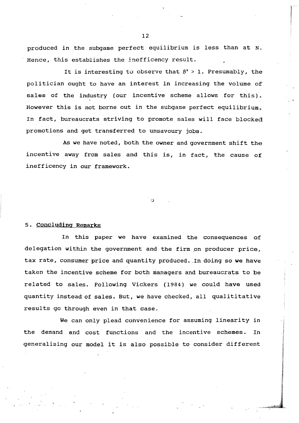produced in the subgame perfect equilibrium is less than at N. Hence, this establishes the inefficency result.

It is interesting to observe that  $B^s > 1$ . Presumably, the politician ought to have an interest in increasing the volume of sales of the industry (our incentive scheme allows for this). However this is not borne out in the subgame perfect equilibrium. In fact, bureaucrats striving to promote sales will face blocked promotions and get transferred to unsavoury jobs.

As we have noted, both the owner and government shift the incentive away from sales and this is, in fact, the cause of inefficency in our framework.

#### 5. concluding Remarks

. ,

In this paper we have examined the consequences of delegation within the government and the firm on producer price, tax rate, consumer price and quantity produced. In doing so we have taken the incentive scheme for both managers and bureaucrats to be related to sales. Following Vickers (1984) we could have used quantity instead of sales. But, we have checked, all qualititative results go through even in that case.

We can only plead convenience for assuming linearity in the demand and cost functions and the incentive schemes. In generalising our model it is also possible to consider different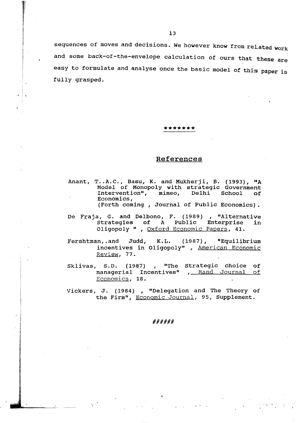sequences of moves and decisions. We however know from related work and some back-of-the-envelope calculation of ours that these are easy to formulate and analyse once the basic model of this paper is fully grasped.

#### **\*\*\*\*\*\*\***

## .References

- Anant, T..A.C., Basu, K. and Mukherji, B. (1993), "A Model of Monopoly with strategic Government Intervention", mimeo, Delhi School of Economics,
	- (Forth coming , Journal of Public Economics) •
- De Fraja, G. and Delbono, F. (1989) , "Alternative strategies of A public Enterprise in oligopoly " , Oxford Economic Papers, 41.
- Fershtman, and Judd, K.L. (1987), "Equilibrium incentives in Oligopoly" , American Economic Reyiew, 77.
- Sklivas, S.D. (1987) , "The strategic choice of managerial Incentives" , Rand Journal of Economics, 18.
- Vickers, J. (1984) , "Delegation and The Theory of the Firm", Economic Journal, 95, Supplement.

#### ######